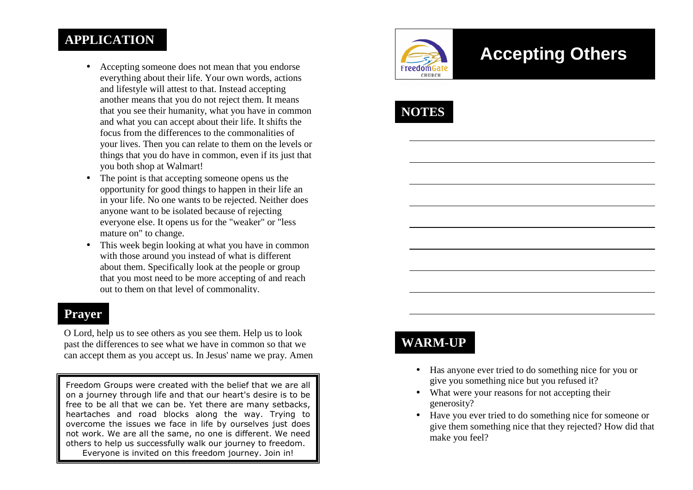### **APPLICATION**

- Accepting someone does not mean that you endorse everything about their life. Your own words, actions and lifestyle will attest to that. Instead accepting another means that you do not reject them. It means that you see their humanity, what you have in common and what you can accept about their life. It shifts the focus from the differences to the commonalities of your lives. Then you can relate to them on the levels or things that you do have in common, even if its just that you both shop at Walmart!
- The point is that accepting someone opens us the opportunity for good things to happen in their life an in your life. No one wants to be rejected. Neither does anyone want to be isolated because of rejecting everyone else. It opens us for the "weaker" or "less mature on" to change.
- This week begin looking at what you have in common with those around you instead of what is different about them. Specifically look at the people or group that you most need to be more accepting of and reach out to them on that level of commonality.

#### **Prayer**

O Lord, help us to see others as you see them. Help us to look past the differences to see what we have in common so that we can accept them as you accept us. In Jesus' name we pray. Amen

Freedom Groups were created with the belief that we are all on a journey through life and that our heart's desire is to be free to be all that we can be. Yet there are many setbacks, heartaches and road blocks along the way. Trying to overcome the issues we face in life by ourselves just does not work. We are all the same, no one is different. We need others to help us successfully walk our journey to freedom. Everyone is invited on this freedom journey. Join in!



# **Accepting Others**



## **WARM-UP**

- Has anyone ever tried to do something nice for you or give you something nice but you refused it?
- What were your reasons for not accepting their generosity?
- Have you ever tried to do something nice for someone or give them something nice that they rejected? How did that make you feel?